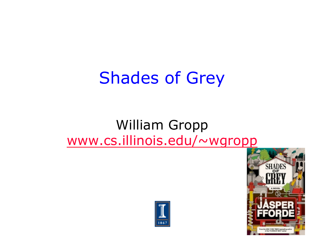## Shades of Grey

#### William Gropp www.cs.illinois.edu/~wgropp



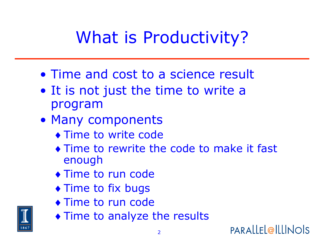# What is Productivity?

- Time and cost to a science result
- It is not just the time to write a program
- Many components
	- ♦ Time to write code
	- ♦ Time to rewrite the code to make it fast enough
	- ♦ Time to run code
	- ♦ Time to fix bugs
	- ♦ Time to run code
	- ♦ Time to analyze the results

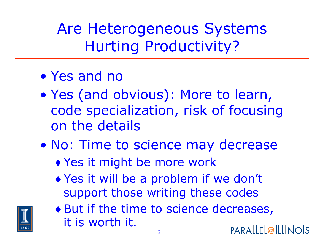Are Heterogeneous Systems Hurting Productivity?

- Yes and no
- Yes (and obvious): More to learn, code specialization, risk of focusing on the details
- No: Time to science may decrease
	- ♦ Yes it might be more work
	- ♦ Yes it will be a problem if we don't support those writing these codes



♦ But if the time to science decreases, it is worth it. PARALLEL@ILLINOIS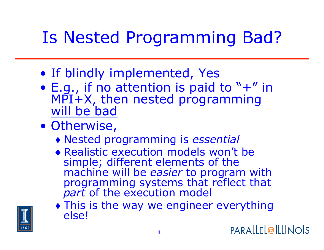# Is Nested Programming Bad?

- If blindly implemented, Yes
- E.g., if no attention is paid to "+" in MPI+X, then nested programming will be bad
- Otherwise,
	- ♦ Nested programming is *essential*
	- ♦ Realistic execution models won't be simple; different elements of the<br>machine will be easier to program with programming systems that reflect that *part* of the execution model
	- ♦ This is the way we engineer everything else!

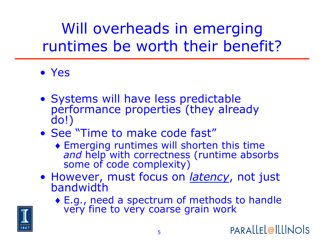Will overheads in emerging runtimes be worth their benefit?

- Yes
- Systems will have less predictable performance properties (they already do!)
- See "Time to make code fast"
	- $\bullet$  Emerging runtimes will shorten this time and help with correctness (runtime absorbs some of code complexity)
- However, must focus on *latency*, not just bandwidth
	- ♦ E.g., need a spectrum of methods to handle very fine to very coarse grain work

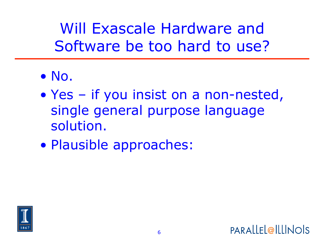Will Exascale Hardware and Software be too hard to use?

- No.
- Yes if you insist on a non-nested, single general purpose language solution.
- Plausible approaches:



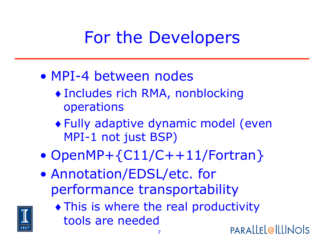# For the Developers

- MPI-4 between nodes
	- ♦ Includes rich RMA, nonblocking operations
	- ♦ Fully adaptive dynamic model (even MPI-1 not just BSP)
- OpenMP+{C11/C++11/Fortran}
- Annotation/EDSL/etc. for performance transportability



♦ This is where the real productivity tools are needed

PARALLEL@ILLINOIS